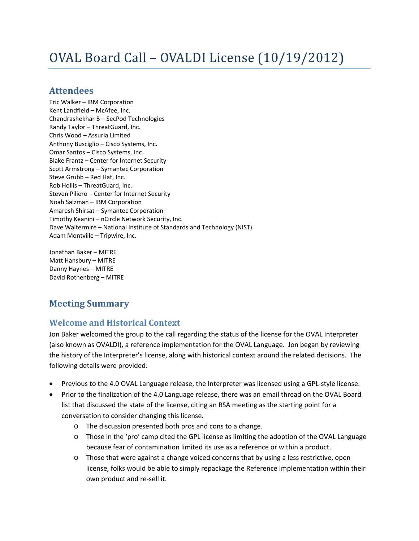# OVAL Board Call – OVALDI License (10/19/2012)

### **Attendees**

Eric Walker – IBM Corporation Kent Landfield – McAfee, Inc. Chandrashekhar B – SecPod Technologies Randy Taylor – ThreatGuard, Inc. Chris Wood – Assuria Limited Anthony Busciglio – Cisco Systems, Inc. Omar Santos – Cisco Systems, Inc. Blake Frantz – Center for Internet Security Scott Armstrong – Symantec Corporation Steve Grubb – Red Hat, Inc. Rob Hollis – ThreatGuard, Inc. Steven Piliero – Center for Internet Security Noah Salzman – IBM Corporation Amaresh Shirsat – Symantec Corporation Timothy Keanini – nCircle Network Security, Inc. Dave Waltermire – National Institute of Standards and Technology (NIST) Adam Montville – Tripwire, Inc.

Jonathan Baker – MITRE Matt Hansbury – MITRE Danny Haynes – MITRE David Rothenberg – MITRE

## **Meeting Summary**

### **Welcome and Historical Context**

Jon Baker welcomed the group to the call regarding the status of the license for the OVAL Interpreter (also known as OVALDI), a reference implementation for the OVAL Language. Jon began by reviewing the history of the Interpreter's license, along with historical context around the related decisions. The following details were provided:

- Previous to the 4.0 OVAL Language release, the Interpreter was licensed using a GPL-style license.
- Prior to the finalization of the 4.0 Language release, there was an email thread on the OVAL Board list that discussed the state of the license, citing an RSA meeting as the starting point for a conversation to consider changing this license.
	- o The discussion presented both pros and cons to a change.
	- o Those in the 'pro' camp cited the GPL license as limiting the adoption of the OVAL Language because fear of contamination limited its use as a reference or within a product.
	- o Those that were against a change voiced concerns that by using a less restrictive, open license, folks would be able to simply repackage the Reference Implementation within their own product and re-sell it.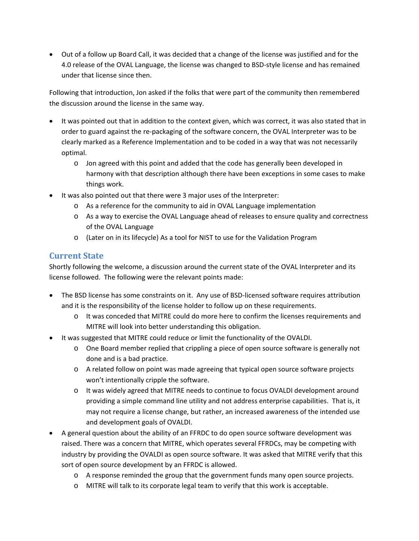• Out of a follow up Board Call, it was decided that a change of the license was justified and for the 4.0 release of the OVAL Language, the license was changed to BSD-style license and has remained under that license since then.

Following that introduction, Jon asked if the folks that were part of the community then remembered the discussion around the license in the same way.

- It was pointed out that in addition to the context given, which was correct, it was also stated that in order to guard against the re-packaging of the software concern, the OVAL Interpreter was to be clearly marked as a Reference Implementation and to be coded in a way that was not necessarily optimal.
	- o Jon agreed with this point and added that the code has generally been developed in harmony with that description although there have been exceptions in some cases to make things work.
- It was also pointed out that there were 3 major uses of the Interpreter:
	- o As a reference for the community to aid in OVAL Language implementation
	- o As a way to exercise the OVAL Language ahead of releases to ensure quality and correctness of the OVAL Language
	- o (Later on in its lifecycle) As a tool for NIST to use for the Validation Program

### **Current State**

Shortly following the welcome, a discussion around the current state of the OVAL Interpreter and its license followed. The following were the relevant points made:

- The BSD license has some constraints on it. Any use of BSD-licensed software requires attribution and it is the responsibility of the license holder to follow up on these requirements.
	- o It was conceded that MITRE could do more here to confirm the licenses requirements and MITRE will look into better understanding this obligation.
- It was suggested that MITRE could reduce or limit the functionality of the OVALDI.
	- o One Board member replied that crippling a piece of open source software is generally not done and is a bad practice.
	- o A related follow on point was made agreeing that typical open source software projects won't intentionally cripple the software.
	- o It was widely agreed that MITRE needs to continue to focus OVALDI development around providing a simple command line utility and not address enterprise capabilities. That is, it may not require a license change, but rather, an increased awareness of the intended use and development goals of OVALDI.
- A general question about the ability of an FFRDC to do open source software development was raised. There was a concern that MITRE, which operates several FFRDCs, may be competing with industry by providing the OVALDI as open source software. It was asked that MITRE verify that this sort of open source development by an FFRDC is allowed.
	- o A response reminded the group that the government funds many open source projects.
	- o MITRE will talk to its corporate legal team to verify that this work is acceptable.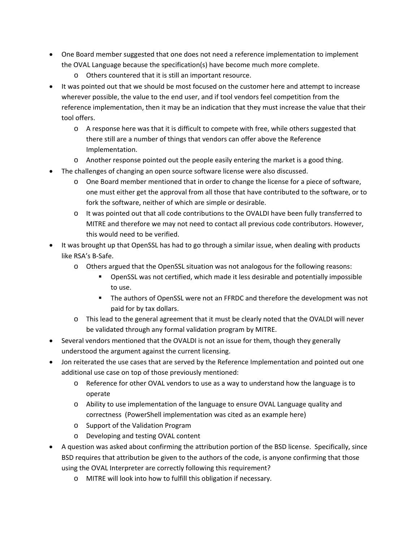- One Board member suggested that one does not need a reference implementation to implement the OVAL Language because the specification(s) have become much more complete.
	- o Others countered that it is still an important resource.
- It was pointed out that we should be most focused on the customer here and attempt to increase wherever possible, the value to the end user, and if tool vendors feel competition from the reference implementation, then it may be an indication that they must increase the value that their tool offers.
	- o A response here was that it is difficult to compete with free, while others suggested that there still are a number of things that vendors can offer above the Reference Implementation.
	- o Another response pointed out the people easily entering the market is a good thing.
- The challenges of changing an open source software license were also discussed.
	- o One Board member mentioned that in order to change the license for a piece of software, one must either get the approval from all those that have contributed to the software, or to fork the software, neither of which are simple or desirable.
	- o It was pointed out that all code contributions to the OVALDI have been fully transferred to MITRE and therefore we may not need to contact all previous code contributors. However, this would need to be verified.
- It was brought up that OpenSSL has had to go through a similar issue, when dealing with products like RSA's B-Safe.
	- o Others argued that the OpenSSL situation was not analogous for the following reasons:
		- OpenSSL was not certified, which made it less desirable and potentially impossible to use.
		- The authors of OpenSSL were not an FFRDC and therefore the development was not paid for by tax dollars.
	- o This lead to the general agreement that it must be clearly noted that the OVALDI will never be validated through any formal validation program by MITRE.
- Several vendors mentioned that the OVALDI is not an issue for them, though they generally understood the argument against the current licensing.
- Jon reiterated the use cases that are served by the Reference Implementation and pointed out one additional use case on top of those previously mentioned:
	- o Reference for other OVAL vendors to use as a way to understand how the language is to operate
	- o Ability to use implementation of the language to ensure OVAL Language quality and correctness (PowerShell implementation was cited as an example here)
	- o Support of the Validation Program
	- o Developing and testing OVAL content
- A question was asked about confirming the attribution portion of the BSD license. Specifically, since BSD requires that attribution be given to the authors of the code, is anyone confirming that those using the OVAL Interpreter are correctly following this requirement?
	- o MITRE will look into how to fulfill this obligation if necessary.